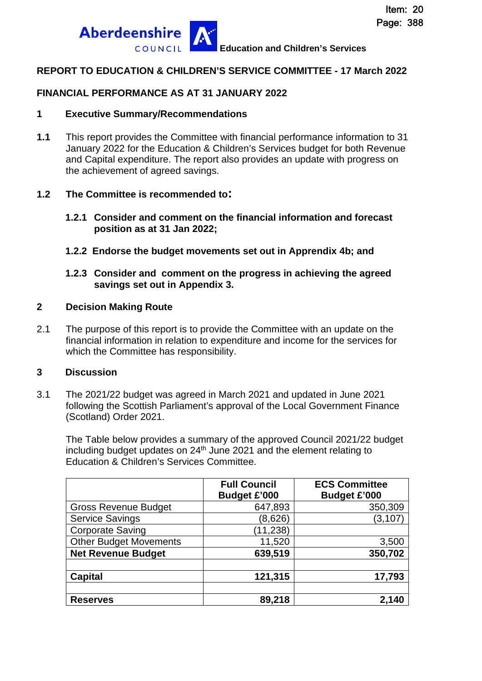

#### **REPORT TO EDUCATION & CHILDREN'S SERVICE COMMITTEE - 17 March 2022**

#### **FINANCIAL PERFORMANCE AS AT 31 JANUARY 2022**

#### **1 Executive Summary/Recommendations**

**1.1** This report provides the Committee with financial performance information to 31 January 2022 for the Education & Children's Services budget for both Revenue and Capital expenditure. The report also provides an update with progress on the achievement of agreed savings.

#### **1.2 The Committee is recommended to:**

- **1.2.1 Consider and comment on the financial information and forecast position as at 31 Jan 2022;**
- **1.2.2 Endorse the budget movements set out in Apprendix 4b; and**
- **1.2.3 Consider and comment on the progress in achieving the agreed savings set out in Appendix 3.**

#### **2 Decision Making Route**

2.1 The purpose of this report is to provide the Committee with an update on the financial information in relation to expenditure and income for the services for which the Committee has responsibility.

#### **3 Discussion**

3.1 The 2021/22 budget was agreed in March 2021 and updated in June 2021 following the Scottish Parliament's approval of the Local Government Finance (Scotland) Order 2021.

The Table below provides a summary of the approved Council 2021/22 budget including budget updates on 24<sup>th</sup> June 2021 and the element relating to Education & Children's Services Committee.

|                               | <b>Full Council</b><br><b>Budget £'000</b> | <b>ECS Committee</b><br><b>Budget £'000</b> |
|-------------------------------|--------------------------------------------|---------------------------------------------|
| <b>Gross Revenue Budget</b>   | 647,893                                    | 350,309                                     |
| <b>Service Savings</b>        | (8,626)                                    | (3, 107)                                    |
| <b>Corporate Saving</b>       | (11, 238)                                  |                                             |
| <b>Other Budget Movements</b> | 11,520                                     | 3,500                                       |
| <b>Net Revenue Budget</b>     | 639,519                                    | 350,702                                     |
|                               |                                            |                                             |
| <b>Capital</b>                | 121,315                                    | 17,793                                      |
|                               |                                            |                                             |
| <b>Reserves</b>               | 89,218                                     | 2,140                                       |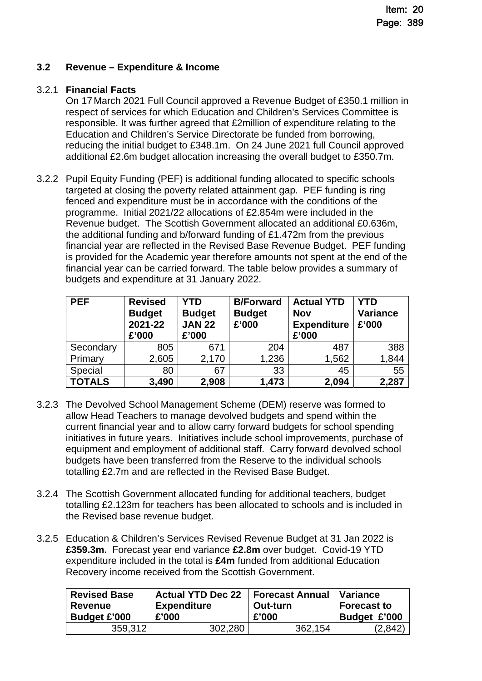## **3.2 Revenue – Expenditure & Income**

## 3.2.1 **Financial Facts**

On 17 March 2021 Full Council approved a Revenue Budget of £350.1 million in respect of services for which Education and Children's Services Committee is responsible. It was further agreed that £2million of expenditure relating to the Education and Children's Service Directorate be funded from borrowing, reducing the initial budget to £348.1m. On 24 June 2021 full Council approved additional £2.6m budget allocation increasing the overall budget to £350.7m.

3.2.2 Pupil Equity Funding (PEF) is additional funding allocated to specific schools targeted at closing the poverty related attainment gap. PEF funding is ring fenced and expenditure must be in accordance with the conditions of the programme. Initial 2021/22 allocations of £2.854m were included in the Revenue budget. The Scottish Government allocated an additional £0.636m, the additional funding and b/forward funding of £1.472m from the previous financial year are reflected in the Revised Base Revenue Budget. PEF funding is provided for the Academic year therefore amounts not spent at the end of the financial year can be carried forward. The table below provides a summary of budgets and expenditure at 31 January 2022.

| <b>PEF</b>    | <b>Revised</b><br><b>Budget</b><br>2021-22<br>£'000 | <b>YTD</b><br><b>Budget</b><br><b>JAN 22</b><br>£'000 | <b>B/Forward</b><br><b>Budget</b><br>£'000 | <b>Actual YTD</b><br><b>Nov</b><br><b>Expenditure</b><br>£'000 | <b>YTD</b><br><b>Variance</b><br>£'000 |  |
|---------------|-----------------------------------------------------|-------------------------------------------------------|--------------------------------------------|----------------------------------------------------------------|----------------------------------------|--|
| Secondary     | 805                                                 | 671                                                   | 204                                        | 487                                                            | 388                                    |  |
| Primary       | 2,605                                               | 2,170                                                 | 1,236                                      | 1,562                                                          | 1,844                                  |  |
| Special       | 80                                                  | 67                                                    | 33                                         | 45                                                             | 55                                     |  |
| <b>TOTALS</b> | 3,490                                               | 2,908                                                 | 1,473                                      | 2,094                                                          | 2,287                                  |  |

- 3.2.3 The Devolved School Management Scheme (DEM) reserve was formed to allow Head Teachers to manage devolved budgets and spend within the current financial year and to allow carry forward budgets for school spending initiatives in future years. Initiatives include school improvements, purchase of equipment and employment of additional staff. Carry forward devolved school budgets have been transferred from the Reserve to the individual schools totalling £2.7m and are reflected in the Revised Base Budget.
- 3.2.4 The Scottish Government allocated funding for additional teachers, budget totalling £2.123m for teachers has been allocated to schools and is included in the Revised base revenue budget.
- 3.2.5 Education & Children's Services Revised Revenue Budget at 31 Jan 2022 is **£359.3m.** Forecast year end variance **£2.8m** over budget. Covid-19 YTD expenditure included in the total is **£4m** funded from additional Education Recovery income received from the Scottish Government.

| <b>Revised Base</b> | <b>Actual YTD Dec 22</b> | <b>Forecast Annual</b> | ∣ Variance         |
|---------------------|--------------------------|------------------------|--------------------|
| <b>Revenue</b>      | Expenditure              | Out-turn               | <b>Forecast to</b> |
| <b>Budget £'000</b> | £'000                    | £'000                  | Budget £'000       |
| 359,312             | 302.280                  | 362.154                | 2.842              |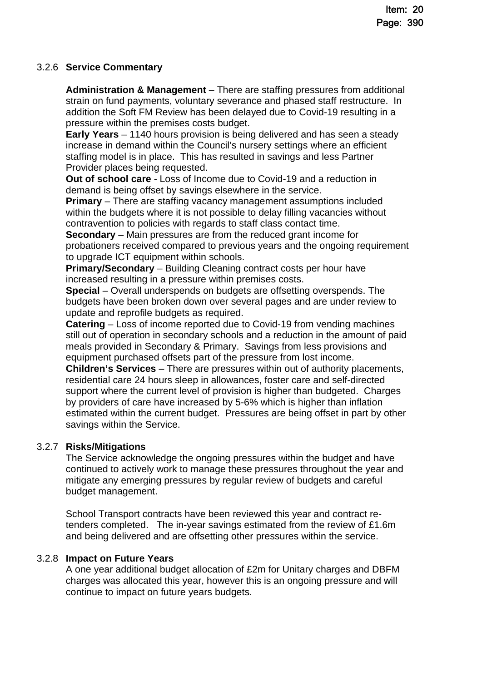## 3.2.6 **Service Commentary**

**Administration & Management** – There are staffing pressures from additional strain on fund payments, voluntary severance and phased staff restructure. In addition the Soft FM Review has been delayed due to Covid-19 resulting in a pressure within the premises costs budget.

**Early Years** – 1140 hours provision is being delivered and has seen a steady increase in demand within the Council's nursery settings where an efficient staffing model is in place. This has resulted in savings and less Partner Provider places being requested.

**Out of school care** - Loss of Income due to Covid-19 and a reduction in demand is being offset by savings elsewhere in the service.

**Primary** – There are staffing vacancy management assumptions included within the budgets where it is not possible to delay filling vacancies without contravention to policies with regards to staff class contact time.

**Secondary** – Main pressures are from the reduced grant income for probationers received compared to previous years and the ongoing requirement to upgrade ICT equipment within schools.

**Primary/Secondary** – Building Cleaning contract costs per hour have increased resulting in a pressure within premises costs.

**Special** – Overall underspends on budgets are offsetting overspends. The budgets have been broken down over several pages and are under review to update and reprofile budgets as required.

**Catering** – Loss of income reported due to Covid-19 from vending machines still out of operation in secondary schools and a reduction in the amount of paid meals provided in Secondary & Primary. Savings from less provisions and equipment purchased offsets part of the pressure from lost income.

**Children's Services** – There are pressures within out of authority placements, residential care 24 hours sleep in allowances, foster care and self-directed support where the current level of provision is higher than budgeted. Charges by providers of care have increased by 5-6% which is higher than inflation estimated within the current budget. Pressures are being offset in part by other savings within the Service.

## 3.2.7 **Risks/Mitigations**

The Service acknowledge the ongoing pressures within the budget and have continued to actively work to manage these pressures throughout the year and mitigate any emerging pressures by regular review of budgets and careful budget management.

School Transport contracts have been reviewed this year and contract retenders completed. The in-year savings estimated from the review of £1.6m and being delivered and are offsetting other pressures within the service.

## 3.2.8 **Impact on Future Years**

A one year additional budget allocation of £2m for Unitary charges and DBFM charges was allocated this year, however this is an ongoing pressure and will continue to impact on future years budgets.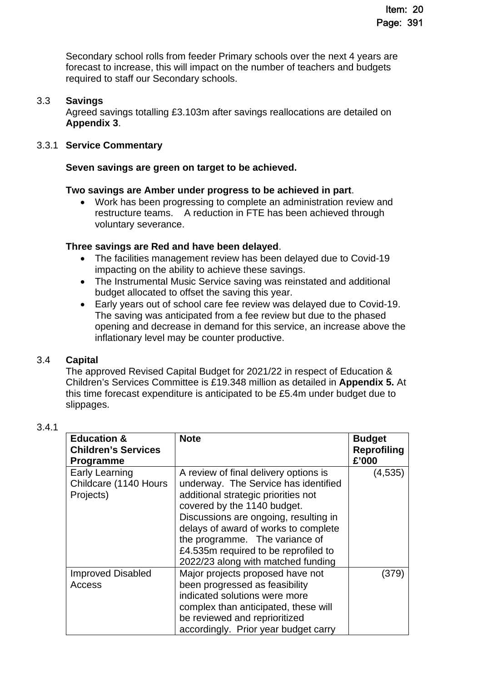Secondary school rolls from feeder Primary schools over the next 4 years are forecast to increase, this will impact on the number of teachers and budgets required to staff our Secondary schools.

#### 3.3 **Savings**

Agreed savings totalling £3.103m after savings reallocations are detailed on **Appendix 3**.

#### 3.3.1 **Service Commentary**

#### **Seven savings are green on target to be achieved.**

#### **Two savings are Amber under progress to be achieved in part**.

 Work has been progressing to complete an administration review and restructure teams. A reduction in FTE has been achieved through voluntary severance.

#### **Three savings are Red and have been delayed**.

- The facilities management review has been delayed due to Covid-19 impacting on the ability to achieve these savings.
- The Instrumental Music Service saving was reinstated and additional budget allocated to offset the saving this year.
- Early years out of school care fee review was delayed due to Covid-19. The saving was anticipated from a fee review but due to the phased opening and decrease in demand for this service, an increase above the inflationary level may be counter productive.

#### 3.4 **Capital**

The approved Revised Capital Budget for 2021/22 in respect of Education & Children's Services Committee is £19.348 million as detailed in **Appendix 5.** At this time forecast expenditure is anticipated to be £5.4m under budget due to slippages.

| ×<br>۹ |
|--------|
|--------|

| <b>Education &amp;</b><br><b>Children's Services</b><br><b>Programme</b> | <b>Note</b>                                                                                                                                                                                                                                                                                                                                          | <b>Budget</b><br><b>Reprofiling</b><br>£'000 |
|--------------------------------------------------------------------------|------------------------------------------------------------------------------------------------------------------------------------------------------------------------------------------------------------------------------------------------------------------------------------------------------------------------------------------------------|----------------------------------------------|
| Early Learning<br>Childcare (1140 Hours<br>Projects)                     | A review of final delivery options is<br>underway. The Service has identified<br>additional strategic priorities not<br>covered by the 1140 budget.<br>Discussions are ongoing, resulting in<br>delays of award of works to complete<br>the programme. The variance of<br>£4.535m required to be reprofiled to<br>2022/23 along with matched funding | (4,535)                                      |
| <b>Improved Disabled</b><br>Access                                       | Major projects proposed have not<br>been progressed as feasibility<br>indicated solutions were more<br>complex than anticipated, these will<br>be reviewed and reprioritized<br>accordingly. Prior year budget carry                                                                                                                                 | (379)                                        |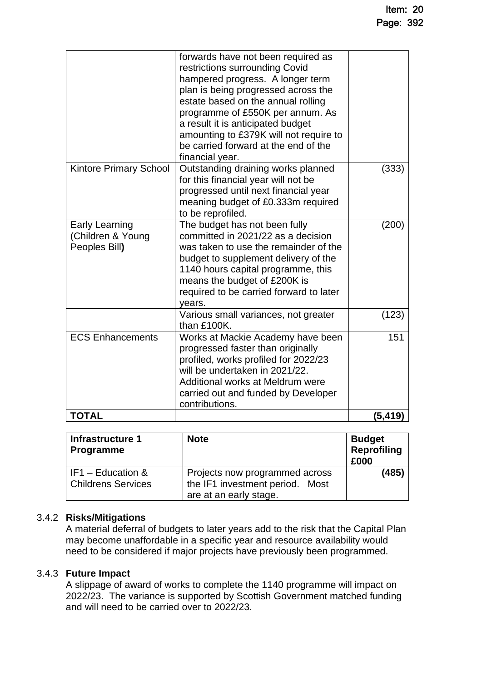|                                                             | forwards have not been required as<br>restrictions surrounding Covid<br>hampered progress. A longer term<br>plan is being progressed across the<br>estate based on the annual rolling<br>programme of £550K per annum. As<br>a result it is anticipated budget<br>amounting to £379K will not require to<br>be carried forward at the end of the<br>financial year. |         |
|-------------------------------------------------------------|---------------------------------------------------------------------------------------------------------------------------------------------------------------------------------------------------------------------------------------------------------------------------------------------------------------------------------------------------------------------|---------|
| <b>Kintore Primary School</b>                               | Outstanding draining works planned<br>for this financial year will not be<br>progressed until next financial year<br>meaning budget of £0.333m required<br>to be reprofiled.                                                                                                                                                                                        | (333)   |
| <b>Early Learning</b><br>(Children & Young<br>Peoples Bill) | The budget has not been fully<br>committed in 2021/22 as a decision<br>was taken to use the remainder of the<br>budget to supplement delivery of the<br>1140 hours capital programme, this<br>means the budget of £200K is<br>required to be carried forward to later<br>years.                                                                                     | (200)   |
|                                                             | Various small variances, not greater<br>than £100K.                                                                                                                                                                                                                                                                                                                 | (123)   |
| <b>ECS Enhancements</b>                                     | Works at Mackie Academy have been<br>progressed faster than originally<br>profiled, works profiled for 2022/23<br>will be undertaken in 2021/22.<br>Additional works at Meldrum were<br>carried out and funded by Developer<br>contributions.                                                                                                                       | 151     |
| <b>TOTAL</b>                                                |                                                                                                                                                                                                                                                                                                                                                                     | (5,419) |

| Infrastructure 1<br><b>Programme</b>             | <b>Note</b>                                                                                 | <b>Budget</b><br>Reprofiling<br>£000 |
|--------------------------------------------------|---------------------------------------------------------------------------------------------|--------------------------------------|
| l IF1 – Education &<br><b>Childrens Services</b> | Projects now programmed across<br>the IF1 investment period. Most<br>are at an early stage. | (485)                                |

## 3.4.2 **Risks/Mitigations**

A material deferral of budgets to later years add to the risk that the Capital Plan may become unaffordable in a specific year and resource availability would need to be considered if major projects have previously been programmed.

#### 3.4.3 **Future Impact**

A slippage of award of works to complete the 1140 programme will impact on 2022/23. The variance is supported by Scottish Government matched funding and will need to be carried over to 2022/23.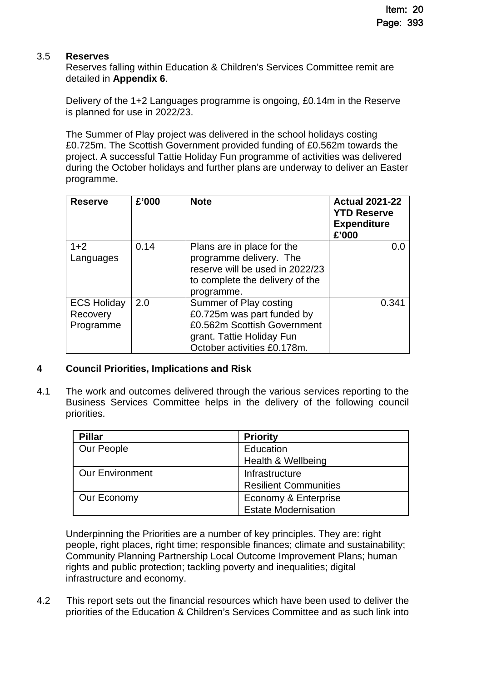#### 3.5 **Reserves**

Reserves falling within Education & Children's Services Committee remit are detailed in **Appendix 6**.

Delivery of the 1+2 Languages programme is ongoing, £0.14m in the Reserve is planned for use in 2022/23.

The Summer of Play project was delivered in the school holidays costing £0.725m. The Scottish Government provided funding of £0.562m towards the project. A successful Tattie Holiday Fun programme of activities was delivered during the October holidays and further plans are underway to deliver an Easter programme.

| <b>Reserve</b>     | £'000 | <b>Note</b>                     | <b>Actual 2021-22</b><br><b>YTD Reserve</b><br><b>Expenditure</b><br>£'000 |
|--------------------|-------|---------------------------------|----------------------------------------------------------------------------|
| $1+2$              | 0.14  | Plans are in place for the      | 0.0                                                                        |
| Languages          |       | programme delivery. The         |                                                                            |
|                    |       | reserve will be used in 2022/23 |                                                                            |
|                    |       | to complete the delivery of the |                                                                            |
|                    |       | programme.                      |                                                                            |
| <b>ECS Holiday</b> | 2.0   | Summer of Play costing          | 0.341                                                                      |
| Recovery           |       | £0.725m was part funded by      |                                                                            |
| Programme          |       | £0.562m Scottish Government     |                                                                            |
|                    |       | grant. Tattie Holiday Fun       |                                                                            |
|                    |       | October activities £0.178m.     |                                                                            |

## **4 Council Priorities, Implications and Risk**

4.1 The work and outcomes delivered through the various services reporting to the Business Services Committee helps in the delivery of the following council priorities.

| <b>Pillar</b>          | <b>Priority</b>              |
|------------------------|------------------------------|
| Our People             | Education                    |
|                        | Health & Wellbeing           |
| <b>Our Environment</b> | Infrastructure               |
|                        | <b>Resilient Communities</b> |
| Our Economy            | Economy & Enterprise         |
|                        | <b>Estate Modernisation</b>  |

Underpinning the Priorities are a number of key principles. They are: right people, right places, right time; responsible finances; climate and sustainability; Community Planning Partnership Local Outcome Improvement Plans; human rights and public protection; tackling poverty and inequalities; digital infrastructure and economy.

4.2 This report sets out the financial resources which have been used to deliver the priorities of the Education & Children's Services Committee and as such link into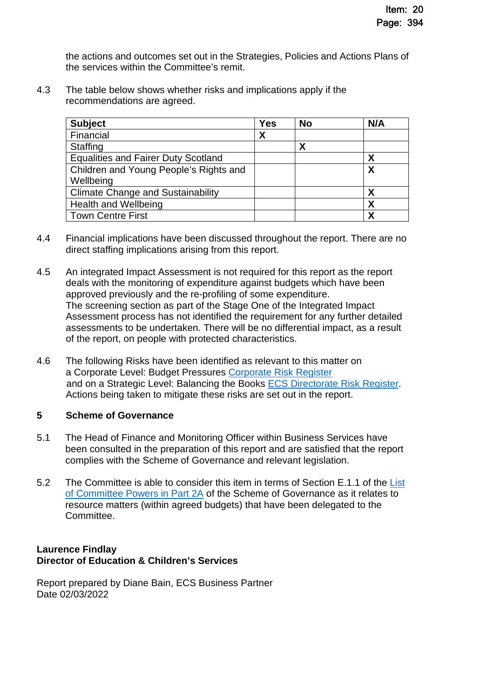the actions and outcomes set out in the Strategies, Policies and Actions Plans of the services within the Committee's remit.

4.3 The table below shows whether risks and implications apply if the recommendations are agreed.

| <b>Subject</b>                             | <b>Yes</b> | <b>No</b> | N/A |
|--------------------------------------------|------------|-----------|-----|
| Financial                                  | X          |           |     |
| <b>Staffing</b>                            |            | Χ         |     |
| <b>Equalities and Fairer Duty Scotland</b> |            |           | Χ   |
| Children and Young People's Rights and     |            |           | Χ   |
| Wellbeing                                  |            |           |     |
| <b>Climate Change and Sustainability</b>   |            |           |     |
| <b>Health and Wellbeing</b>                |            |           | Χ   |
| <b>Town Centre First</b>                   |            |           | Χ   |

- 4.4 Financial implications have been discussed throughout the report. There are no direct staffing implications arising from this report.
- 4.5 An integrated Impact Assessment is not required for this report as the report deals with the monitoring of expenditure against budgets which have been approved previously and the re-profiling of some expenditure. The screening section as part of the Stage One of the Integrated Impact Assessment process has not identified the requirement for any further detailed assessments to be undertaken. There will be no differential impact, as a result of the report, on people with protected characteristics.
- 4.6 The following Risks have been identified as relevant to this matter on a Corporate Level: Budget Pressures [Corporate Risk Register](https://www.aberdeenshire.gov.uk/media/26308/corporaterisks.pdf) and on a Strategic Level: Balancing the Books [ECS Directorate Risk Register.](https://www.aberdeenshire.gov.uk/media/26330/ecsdirectoraterisksregister.pdf) Actions being taken to mitigate these risks are set out in the report.

#### **5 Scheme of Governance**

- 5.1 The Head of Finance and Monitoring Officer within Business Services have been consulted in the preparation of this report and are satisfied that the report complies with the [Scheme of Governance](https://www.aberdeenshire.gov.uk/council-and-democracy/scheme-of-governance/) and relevant legislation.
- 5.2 The Committee is able to consider this item in terms of Section E.1.1 of the List [of Committee Powers in Part 2A of the Scheme of Governance as it relates to](http://publications.aberdeenshire.gov.uk/dataset/c8044f6f-e327-499f-bbc7-94ae9d699559/resource/8d829bb9-95e7-4c83-bc0b-63b76bcba159/download/list-of-committee-powers.pdf)  resource matters (within agreed budgets) that have been delegated to the Committee.

## **Laurence Findlay Director of Education & Children's Services**

Report prepared by Diane Bain, ECS Business Partner Date 02/03/2022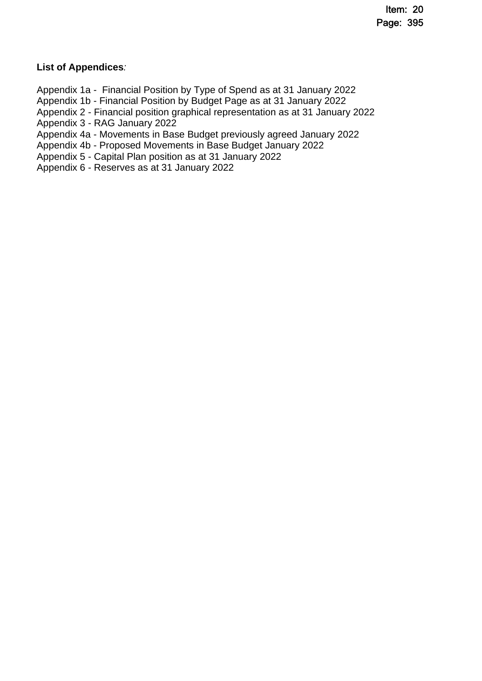## **List of Appendices***:*

Appendix 1a - Financial Position by Type of Spend as at 31 January 2022 Appendix 1b - Financial Position by Budget Page as at 31 January 2022 Appendix 2 - Financial position graphical representation as at 31 January 2022 Appendix 3 - RAG January 2022 Appendix 4a - Movements in Base Budget previously agreed January 2022 Appendix 4b - Proposed Movements in Base Budget January 2022 Appendix 5 - Capital Plan position as at 31 January 2022

Appendix 6 - Reserves as at 31 January 2022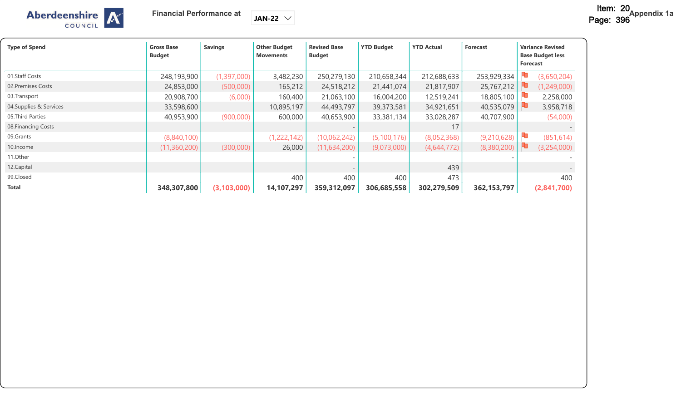

| <b>Type of Spend</b>    | <b>Gross Base</b><br><b>Budget</b> | <b>Savings</b> | <b>Other Budget</b><br><b>Movements</b> | <b>Revised Base</b><br><b>Budget</b> | <b>YTD Budget</b> | <b>YTD Actual</b> | <b>Forecast</b> | <b>Variance Revised</b><br><b>Base Budget less</b><br>Forecast |  |
|-------------------------|------------------------------------|----------------|-----------------------------------------|--------------------------------------|-------------------|-------------------|-----------------|----------------------------------------------------------------|--|
| 01.Staff Costs          | 248,193,900                        | (1,397,000)    | 3,482,230                               | 250,279,130                          | 210,658,344       | 212,688,633       | 253,929,334     | (3,650,204)                                                    |  |
| 02. Premises Costs      | 24,853,000                         | (500,000)      | 165,212                                 | 24,518,212                           | 21,441,074        | 21,817,907        | 25,767,212      | (1,249,000)                                                    |  |
| 03. Transport           | 20,908,700                         | (6,000)        | 160,400                                 | 21,063,100                           | 16,004,200        | 12,519,241        | 18,805,100      | 2,258,000                                                      |  |
| 04. Supplies & Services | 33,598,600                         |                | 10,895,197                              | 44,493,797                           | 39,373,581        | 34,921,651        | 40,535,079      | ш<br>3,958,718                                                 |  |
| 05. Third Parties       | 40,953,900                         | (900,000)      | 600,000                                 | 40,653,900                           | 33,381,134        | 33,028,287        | 40,707,900      | (54,000)                                                       |  |
| 08. Financing Costs     |                                    |                |                                         |                                      |                   | 17                |                 |                                                                |  |
| 09.Grants               | (8,840,100)                        |                | (1,222,142)                             | (10,062,242)                         | (5, 100, 176)     | (8,052,368)       | (9,210,628)     | ш<br>(851, 614)                                                |  |
| 10. Income              | (11,360,200)                       | (300,000)      | 26,000                                  | (11, 634, 200)                       | (9,073,000)       | (4,644,772)       | (8,380,200)     | н.<br>(3,254,000)                                              |  |
| 11.Other                |                                    |                |                                         |                                      |                   |                   |                 |                                                                |  |
| 12.Capital              |                                    |                |                                         |                                      |                   | 439               |                 |                                                                |  |
| 99.Closed               |                                    |                | 400                                     | 400                                  | 400               | 473               |                 | 400                                                            |  |
| <b>Total</b>            | 348,307,800                        | (3, 103, 000)  | 14,107,297                              | 359,312,097                          | 306,685,558       | 302,279,509       | 362, 153, 797   | (2,841,700)                                                    |  |

**JAN-22**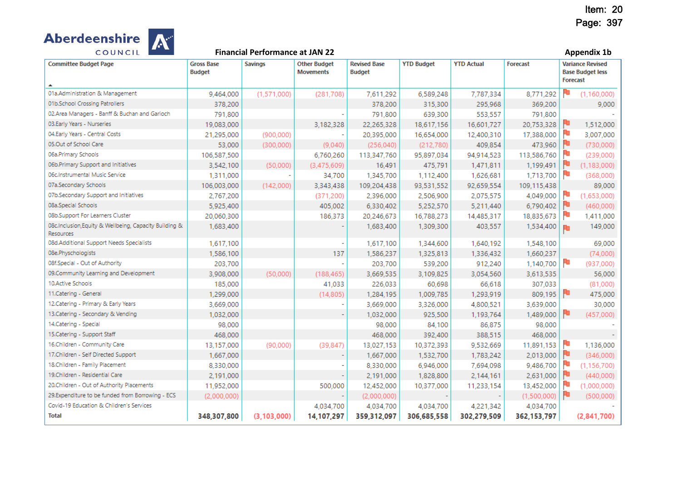

| <b>Committee Budget Page</b>                                               | <b>Gross Base</b><br><b>Budget</b> | <b>Savings</b> | <b>Other Budget</b><br><b>Movements</b> | <b>Revised Base</b><br><b>Budget</b> | <b>YTD Budget</b> | <b>YTD Actual</b> | <b>Forecast</b> | <b>Variance Revised</b><br><b>Base Budget less</b> |               |
|----------------------------------------------------------------------------|------------------------------------|----------------|-----------------------------------------|--------------------------------------|-------------------|-------------------|-----------------|----------------------------------------------------|---------------|
|                                                                            |                                    |                |                                         |                                      |                   |                   |                 | <b>Forecast</b>                                    |               |
| 01a.Administration & Management                                            | 9,464,000                          | (1.571,000)    | (281, 708)                              | 7,611,292                            | 6,589,248         | 7,787,334         | 8,771,292       |                                                    | (1, 160, 000) |
| 01b.School Crossing Patrollers                                             | 378,200                            |                |                                         | 378,200                              | 315,300           | 295,968           | 369,200         |                                                    | 9,000         |
| 02.Area Managers - Banff & Buchan and Garioch                              | 791,800                            |                |                                         | 791,800                              | 639,300           | 553.557           | 791,800         |                                                    |               |
| 03.Early Years - Nurseries                                                 | 19,083,000                         |                | 3,182,328                               | 22,265,328                           | 18,617,156        | 16,601,727        | 20,753,328      |                                                    | 1,512,000     |
| 04.Early Years - Central Costs                                             | 21,295,000                         | (900,000)      |                                         | 20,395,000                           | 16,654,000        | 12,400,310        | 17,388,000      | ۴                                                  | 3,007,000     |
| 05.Out of School Care                                                      | 53,000                             | (300,000)      | (9,040)                                 | (256.040)                            | (212,780)         | 409,854           | 473,960         | ю                                                  | (730,000)     |
| 06a.Primary Schools                                                        | 106,587,500                        |                | 6,760,260                               | 113,347,760                          | 95,897,034        | 94,914,523        | 113,586,760     | ۳                                                  | (239,000)     |
| 06b.Primary Support and Initiatives                                        | 3,542,100                          | (50,000)       | (3,475,609)                             | 16,491                               | 475,791           | 1,471,811         | 1,199,491       |                                                    | (1, 183, 000) |
| 06c.Instrumental Music Service                                             | 1,311,000                          |                | 34,700                                  | 1,345,700                            | 1.112.400         | 1,626,681         | 1,713,700       | ۴                                                  | (368.000)     |
| 07a.Secondary Schools                                                      | 106,003,000                        | (142,000)      | 3,343,438                               | 109,204,438                          | 93,531,552        | 92,659,554        | 109,115,438     |                                                    | 89,000        |
| 07b.Secondary Support and Initiatives                                      | 2,767,200                          |                | (371, 200)                              | 2,396,000                            | 2,506,900         | 2,075,575         | 4,049,000       |                                                    | (1,653,000)   |
| 08a.Special Schools                                                        | 5,925,400                          |                | 405,002                                 | 6,330,402                            | 5,252,570         | 5,211,440         | 6,790,402       | ٣D                                                 | (460,000)     |
| 08b.Support For Learners Cluster                                           | 20,060,300                         |                | 186,373                                 | 20,246,673                           | 16,788,273        | 14,485,317        | 18,835,673      | ۴                                                  | 1,411,000     |
| 08c.Inclusion, Equity & Wellbeing, Capacity Building &<br><b>Resources</b> | 1,683,400                          |                |                                         | 1,683,400                            | 1,309,300         | 403,557           | 1,534,400       | R۵                                                 | 149,000       |
| 08d.Additional Support Needs Specialists                                   | 1,617,100                          |                |                                         | 1,617,100                            | 1,344,600         | 1,640,192         | 1,548,100       |                                                    | 69,000        |
| 08e.Physchologists                                                         | 1,586,100                          |                | 137                                     | 1,586,237                            | 1,325,813         | 1,336,432         | 1,660,237       |                                                    | (74,000)      |
| 08f.Special - Out of Authority                                             | 203,700                            |                |                                         | 203,700                              | 539,200           | 912,240           | 1,140,700       | ٣u                                                 | (937,000)     |
| 09.Community Learning and Development                                      | 3,908,000                          | (50,000)       | (188, 465)                              | 3,669,535                            | 3,109,825         | 3,054,560         | 3,613,535       |                                                    | 56,000        |
| 10.Active Schools                                                          | 185,000                            |                | 41,033                                  | 226,033                              | 60,698            | 66,618            | 307,033         |                                                    | (81,000)      |
| 11.Catering - General                                                      | 1,299,000                          |                | (14, 805)                               | 1,284,195                            | 1,009,785         | 1,293,919         | 809,195         |                                                    | 475,000       |
| 12. Catering - Primary & Early Years                                       | 3,669,000                          |                |                                         | 3,669,000                            | 3,326,000         | 4,800,521         | 3,639,000       |                                                    | 30,000        |
| 13. Catering - Secondary & Vending                                         | 1,032,000                          |                |                                         | 1,032,000                            | 925,500           | 1,193,764         | 1,489,000       | ю                                                  | (457.000)     |
| 14.Catering - Special                                                      | 98,000                             |                |                                         | 98,000                               | 84,100            | 86,875            | 98,000          |                                                    |               |
| 15.Catering - Support Staff                                                | 468,000                            |                |                                         | 468,000                              | 392,400           | 388,515           | 468,000         |                                                    |               |
| 16.Children - Community Care                                               | 13,157,000                         | (90,000)       | (39, 847)                               | 13,027,153                           | 10,372,393        | 9,532,669         | 11,891,153      |                                                    | 1,136,000     |
| 17.Children - Self Directed Support                                        | 1,667,000                          |                |                                         | 1,667,000                            | 1,532,700         | 1,783,242         | 2,013,000       | ٣ū                                                 | (346,000)     |
| 18.Children - Family Placement                                             | 8,330,000                          |                |                                         | 8,330,000                            | 6,946,000         | 7,694,098         | 9,486,700       |                                                    | (1, 156, 700) |
| 19.Children - Residential Care                                             | 2,191,000                          |                |                                         | 2,191,000                            | 1,828,800         | 2,144,161         | 2,631,000       | ю                                                  | (440,000)     |
| 20.Children - Out of Authority Placements                                  | 11,952,000                         |                | 500,000                                 | 12,452,000                           | 10,377,000        | 11,233,154        | 13,452,000      | ٣                                                  | (1,000,000)   |
| 29.Expenditure to be funded from Borrowing - ECS                           | (2,000,000)                        |                |                                         | (2,000,000)                          |                   |                   | (1,500,000)     | ю                                                  | (500,000)     |
| Covid-19 Education & Children's Services                                   |                                    |                | 4,034,700                               | 4,034,700                            | 4,034,700         | 4,221,342         | 4,034,700       |                                                    |               |
| <b>Total</b>                                                               | 348,307,800                        | (3, 103, 000)  | 14,107,297                              | 359,312,097                          | 306,685,558       | 302,279,509       | 362,153,797     |                                                    | (2,841,700)   |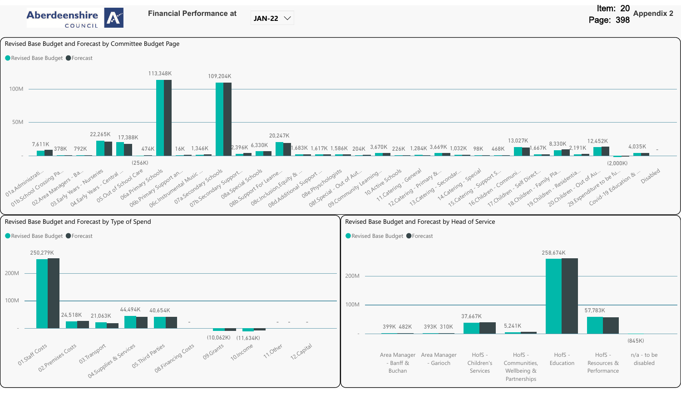

**JAN-22**

Revised Base Budget and Forecast by Committee Budget Page

#### Revised Base Budget PForecast



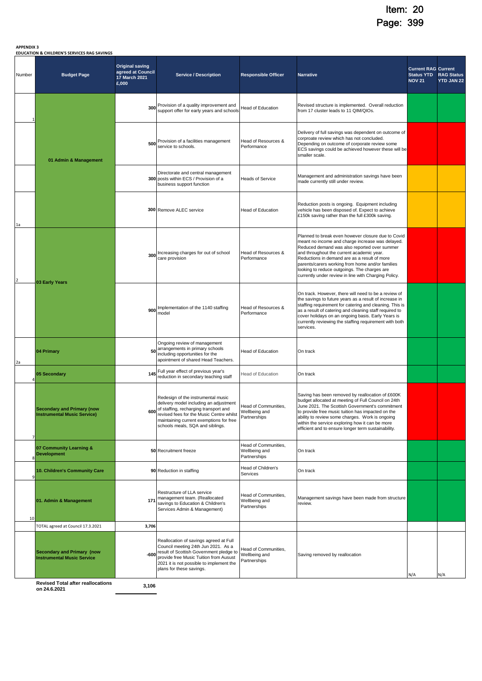|  | <b>APPENDIX 3</b> |  |
|--|-------------------|--|

#### **APPENDIX 3 EDUCATION & CHILDREN'S SERVICES RAG SAVINGS**

| Number | EDUCATION & CHILDREN'S SERVICES RAG SAVINGS<br><b>Budget Page</b>       | <b>Original saving</b><br>agreed at Council<br>17 March 2021<br>£,000 | <b>Service / Description</b>                                                                                                                                                                                                                         | <b>Responsible Officer</b>                            | <b>Narrative</b>                                                                                                                                                                                                                                                                                                                                                                                                | <b>Current RAG Current</b><br><b>Status YTD</b><br><b>NOV 21</b> | <b>RAG Status</b><br><b>YTD JAN 22</b> |
|--------|-------------------------------------------------------------------------|-----------------------------------------------------------------------|------------------------------------------------------------------------------------------------------------------------------------------------------------------------------------------------------------------------------------------------------|-------------------------------------------------------|-----------------------------------------------------------------------------------------------------------------------------------------------------------------------------------------------------------------------------------------------------------------------------------------------------------------------------------------------------------------------------------------------------------------|------------------------------------------------------------------|----------------------------------------|
|        |                                                                         | 300                                                                   | Provision of a quality improvement and<br>support offer for early years and schools                                                                                                                                                                  | Head of Education                                     | Revised structure is implemented. Overall reduction<br>from 17 cluster leads to 11 QIM/QIOs.                                                                                                                                                                                                                                                                                                                    |                                                                  |                                        |
|        | 500<br>01 Admin & Management                                            |                                                                       | Provision of a facilities management<br>service to schools.                                                                                                                                                                                          | Head of Resources &<br>Performance                    | Delivery of full savings was dependent on outcome of<br>corproate review which has not concluded.<br>Depending on outcome of corporate review some<br>ECS savings could be achieved however these will be<br>smaller scale.                                                                                                                                                                                     |                                                                  |                                        |
|        |                                                                         |                                                                       | Directorate and central management<br>300 posts within ECS / Provision of a<br>business support function                                                                                                                                             | <b>Heads of Service</b>                               | Management and administration savings have been<br>made currently still under review.                                                                                                                                                                                                                                                                                                                           |                                                                  |                                        |
| 1a     |                                                                         |                                                                       | <b>300</b> Remove ALEC service                                                                                                                                                                                                                       | <b>Head of Education</b>                              | Reduction posts is ongoing. Equipment including<br>vehicle has been disposed of. Expect to achieve<br>£150k saving rather than the full £300k saving.                                                                                                                                                                                                                                                           |                                                                  |                                        |
|        | 03 Early Years                                                          | 300                                                                   | Increasing charges for out of school<br>care provision                                                                                                                                                                                               | Head of Resources &<br>Performance                    | Planned to break even however closure due to Covid<br>meant no income and charge increase was delayed.<br>Reduced demand was also reported over summer<br>and throughout the current academic year.<br>Reductions in demand are as a result of more<br>parents/carers working from home and/or families<br>looking to reduce outgoings. The charges are<br>currently under review in line with Charging Policy. |                                                                  |                                        |
|        |                                                                         |                                                                       | Implementation of the 1140 staffing<br>900<br>model                                                                                                                                                                                                  | Head of Resources &<br>Performance                    | On track. However, there will need to be a review of<br>the savings to future years as a result of increase in<br>staffing requirement for catering and cleaning. This is<br>as a result of catering and cleaning staff required to<br>cover holidays on an ongoing basis. Early Years is<br>currently reviewing the staffing requirement with both<br>services.                                                |                                                                  |                                        |
| 2a     | 04 Primary                                                              | 50                                                                    | Ongoing review of management<br>arrangements in primary schools<br>including opportunities for the<br>apointment of shared Head Teachers.                                                                                                            | <b>Head of Education</b>                              | On track                                                                                                                                                                                                                                                                                                                                                                                                        |                                                                  |                                        |
|        | 05 Secondary                                                            | 145                                                                   | Full year effect of previous year's<br>reduction in secondary teaching staff                                                                                                                                                                         | <b>Head of Education</b>                              | On track                                                                                                                                                                                                                                                                                                                                                                                                        |                                                                  |                                        |
|        | <b>Secondary and Primary (now</b><br><b>Instrumental Music Service)</b> |                                                                       | Redesign of the instrumental music<br>delivery model including an adjustment<br>600 of staffing, recharging transport and<br>revised fees for the Music Centre whilst<br>maintaining current exemptions for free<br>schools meals, SQA and siblings. | Head of Communities,<br>Wellbeing and<br>Partnerships | Saving has been removed by reallocation of £600K<br>budget allocated at meeting of Full Council on 24th<br>June 2021. The Scottish Government's commitment<br>to provide free music tuition has impacted on the<br>ability to review some charges. Work is ongoing<br>within the service exploring how it can be more<br>efficient and to ensure longer term sustainability.                                    |                                                                  |                                        |
|        | 07 Community Learning &<br><b>Development</b>                           |                                                                       | 50 Recruitment freeze                                                                                                                                                                                                                                | Head of Communities,<br>Wellbeing and<br>Partnerships | On track                                                                                                                                                                                                                                                                                                                                                                                                        |                                                                  |                                        |
| q      | 10. Children's Community Care                                           |                                                                       | 90 Reduction in staffing                                                                                                                                                                                                                             | Head of Children's<br>Services                        | On track                                                                                                                                                                                                                                                                                                                                                                                                        |                                                                  |                                        |
| 10     | 01. Admin & Management                                                  | 171                                                                   | Restructure of LLA service<br>management team. (Reallocated<br>savings to Education & Children's<br>Services Admin & Management)                                                                                                                     | Head of Communities,<br>Wellbeing and<br>Partnerships | Management savings have been made from structure<br>review.                                                                                                                                                                                                                                                                                                                                                     |                                                                  |                                        |
|        | TOTAL agreed at Council 17.3.2021                                       | 3,706                                                                 |                                                                                                                                                                                                                                                      |                                                       |                                                                                                                                                                                                                                                                                                                                                                                                                 |                                                                  |                                        |
|        | <b>Secondary and Primary (now</b><br><b>Instrumental Music Service</b>  | $-600$                                                                | Reallocation of savings agreed at Full<br>Council meeting 24th Jun 2021. As a<br>result of Scottish Government pledge to<br>provide free Music Tuition from Ausust<br>2021 it is not possible to implement the<br>plans for these savings.           | Head of Communities,<br>Wellbeing and<br>Partnerships | Saving removed by reallocation                                                                                                                                                                                                                                                                                                                                                                                  | N/A                                                              | N/A                                    |
|        | <b>Revised Total after reallocations</b><br>on 24.6.2021                | 3,106                                                                 |                                                                                                                                                                                                                                                      |                                                       |                                                                                                                                                                                                                                                                                                                                                                                                                 |                                                                  |                                        |

**Revised Total after reallocations**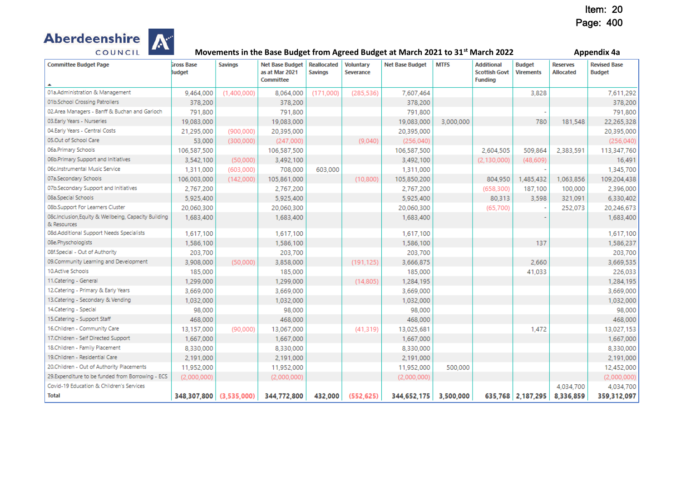

| <b>Committee Budget Page</b>                                        | <b>Gross Base</b><br><b>Budget</b> | <b>Savings</b> | <b>Net Base Budget</b><br>as at Mar 2021<br>Committee | Reallocated<br><b>Savings</b> | <b>Voluntary</b><br>Severance | <b>Net Base Budget</b> | <b>MTFS</b> | <b>Additional</b><br><b>Scottish Govt</b><br><b>Funding</b> | <b>Budget</b><br><b>Virements</b> | <b>Reserves</b><br><b>Allocated</b> | <b>Revised Base</b><br><b>Budget</b> |
|---------------------------------------------------------------------|------------------------------------|----------------|-------------------------------------------------------|-------------------------------|-------------------------------|------------------------|-------------|-------------------------------------------------------------|-----------------------------------|-------------------------------------|--------------------------------------|
| 01a.Administration & Management                                     | 9,464,000                          | (1,400,000)    | 8,064,000                                             | (171,000)                     | (285, 536)                    | 7,607,464              |             |                                                             | 3,828                             |                                     | 7,611,292                            |
| 01b.School Crossing Patrollers                                      | 378,200                            |                | 378,200                                               |                               |                               | 378,200                |             |                                                             |                                   |                                     | 378,200                              |
| 02.Area Managers - Banff & Buchan and Garioch                       | 791,800                            |                | 791,800                                               |                               |                               | 791,800                |             |                                                             |                                   |                                     | 791,800                              |
| 03.Early Years - Nurseries                                          | 19,083,000                         |                | 19,083,000                                            |                               |                               | 19,083,000             | 3,000,000   |                                                             | 780                               | 181,548                             | 22,265,328                           |
| 04.Early Years - Central Costs                                      | 21,295,000                         | (900,000)      | 20,395,000                                            |                               |                               | 20,395,000             |             |                                                             |                                   |                                     | 20,395,000                           |
| 05.Out of School Care                                               | 53,000                             | (300,000)      | (247,000)                                             |                               | (9,040)                       | (256, 040)             |             |                                                             |                                   |                                     | (256, 040)                           |
| 06a.Primary Schools                                                 | 106,587,500                        |                | 106,587,500                                           |                               |                               | 106,587,500            |             | 2,604,505                                                   | 509,864                           | 2,383,591                           | 113,347,760                          |
| 06b.Primary Support and Initiatives                                 | 3,542,100                          | (50,000)       | 3,492,100                                             |                               |                               | 3,492,100              |             | (2, 130, 000)                                               | (48, 609)                         |                                     | 16,491                               |
| 06c.Instrumental Music Service                                      | 1,311,000                          | (603,000)      | 708,000                                               | 603,000                       |                               | 1,311,000              |             |                                                             |                                   |                                     | 1,345,700                            |
| 07a.Secondary Schools                                               | 106,003,000                        | (142,000)      | 105,861,000                                           |                               | (10, 800)                     | 105,850,200            |             | 804,950                                                     | 1,485,432                         | 1,063,856                           | 109,204,438                          |
| 07b.Secondary Support and Initiatives                               | 2,767,200                          |                | 2,767,200                                             |                               |                               | 2,767,200              |             | (658, 300)                                                  | 187,100                           | 100,000                             | 2,396,000                            |
| 08a, Special Schools                                                | 5,925,400                          |                | 5,925,400                                             |                               |                               | 5,925,400              |             | 80,313                                                      | 3.598                             | 321,091                             | 6,330,402                            |
| 08b.Support For Learners Cluster                                    | 20,060,300                         |                | 20,060,300                                            |                               |                               | 20,060,300             |             | (65,700)                                                    |                                   | 252,073                             | 20,246,673                           |
| 08c.Inclusion, Equity & Wellbeing, Capacity Building<br>& Resources | 1,683,400                          |                | 1,683,400                                             |                               |                               | 1,683,400              |             |                                                             |                                   |                                     | 1,683,400                            |
| 08d.Additional Support Needs Specialists                            | 1,617,100                          |                | 1,617,100                                             |                               |                               | 1,617,100              |             |                                                             |                                   |                                     | 1,617,100                            |
| 08e.Physchologists                                                  | 1,586,100                          |                | 1,586,100                                             |                               |                               | 1,586,100              |             |                                                             | 137                               |                                     | 1,586,237                            |
| 08f.Special - Out of Authority                                      | 203,700                            |                | 203,700                                               |                               |                               | 203,700                |             |                                                             |                                   |                                     | 203,700                              |
| 09.Community Learning and Development                               | 3,908,000                          | (50,000)       | 3,858,000                                             |                               | (191, 125)                    | 3,666,875              |             |                                                             | 2,660                             |                                     | 3,669,535                            |
| 10.Active Schools                                                   | 185,000                            |                | 185,000                                               |                               |                               | 185,000                |             |                                                             | 41,033                            |                                     | 226,033                              |
| 11.Catering - General                                               | 1,299,000                          |                | 1,299,000                                             |                               | (14, 805)                     | 1,284,195              |             |                                                             |                                   |                                     | 1,284,195                            |
| 12. Catering - Primary & Early Years                                | 3,669,000                          |                | 3,669,000                                             |                               |                               | 3,669,000              |             |                                                             |                                   |                                     | 3,669,000                            |
| 13. Catering - Secondary & Vending                                  | 1,032,000                          |                | 1,032,000                                             |                               |                               | 1,032,000              |             |                                                             |                                   |                                     | 1,032,000                            |
| 14.Catering - Special                                               | 98,000                             |                | 98,000                                                |                               |                               | 98,000                 |             |                                                             |                                   |                                     | 98,000                               |
| 15. Catering - Support Staff                                        | 468,000                            |                | 468,000                                               |                               |                               | 468,000                |             |                                                             |                                   |                                     | 468,000                              |
| 16.Children - Community Care                                        | 13,157,000                         | (90,000)       | 13,067,000                                            |                               | (41, 319)                     | 13,025,681             |             |                                                             | 1,472                             |                                     | 13,027,153                           |
| 17.Children - Self Directed Support                                 | 1,667,000                          |                | 1,667,000                                             |                               |                               | 1,667,000              |             |                                                             |                                   |                                     | 1,667,000                            |
| 18.Children - Family Placement                                      | 8,330,000                          |                | 8,330,000                                             |                               |                               | 8,330,000              |             |                                                             |                                   |                                     | 8,330,000                            |
| 19.Children - Residential Care                                      | 2,191,000                          |                | 2,191,000                                             |                               |                               | 2,191,000              |             |                                                             |                                   |                                     | 2,191,000                            |
| 20.Children - Out of Authority Placements                           | 11,952,000                         |                | 11,952,000                                            |                               |                               | 11,952,000             | 500,000     |                                                             |                                   |                                     | 12,452,000                           |
| 29.Expenditure to be funded from Borrowing - ECS                    | (2,000,000)                        |                | (2,000,000)                                           |                               |                               | (2,000,000)            |             |                                                             |                                   |                                     | (2,000,000)                          |
| Covid-19 Education & Children's Services                            |                                    |                |                                                       |                               |                               |                        |             |                                                             |                                   | 4,034,700                           | 4,034,700                            |
| <b>Total</b>                                                        | 348,307,800 (3,535,000)            |                | 344,772,800                                           | 432,000                       | (552.625)                     | 344,652,175 3,500,000  |             |                                                             | 635,768 2,187,295                 | 8,336,859                           | 359,312,097                          |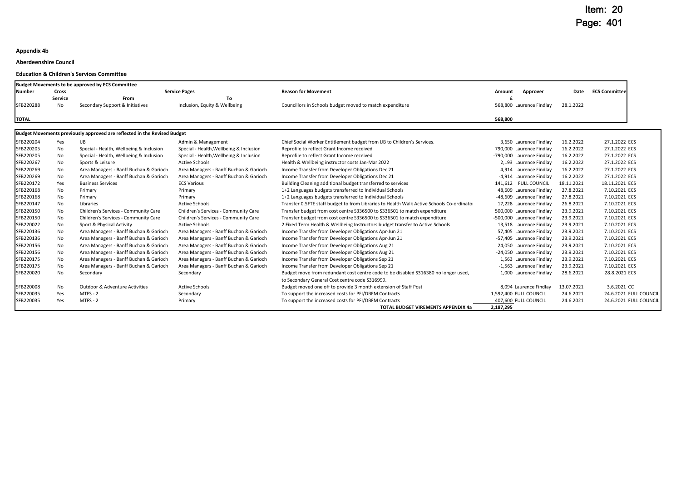#### **Appendix 4b**

#### **Aberdeenshire Council**

**Education & Children's Services Committee**

|               |                | <b>Budget Movements to be approved by ECS Committee</b>                  |                                         |                                                                                                                   |                                                |                        |                                                  |
|---------------|----------------|--------------------------------------------------------------------------|-----------------------------------------|-------------------------------------------------------------------------------------------------------------------|------------------------------------------------|------------------------|--------------------------------------------------|
| <b>Number</b> | <b>Cross</b>   |                                                                          | <b>Service Pages</b>                    | <b>Reason for Movement</b>                                                                                        | Approver<br>Amount                             | Date                   | <b>ECS Committee</b>                             |
|               | <b>Service</b> | From                                                                     | To                                      |                                                                                                                   |                                                |                        |                                                  |
| SFB220288     | No.            | Secondary Support & Initiatives                                          | Inclusion, Equity & Wellbeing           | Councillors in Schools budget moved to match expenditure                                                          | 568,800 Laurence Findlay                       | 28.1.2022              |                                                  |
| <b>TOTAL</b>  |                |                                                                          |                                         |                                                                                                                   | 568.800                                        |                        |                                                  |
|               |                | Budget Movements previously approved are reflected in the Revised Budget |                                         |                                                                                                                   |                                                |                        |                                                  |
| SFB220204     | Yes            | IJB                                                                      | Admin & Management                      | Chief Social Worker Entitlement budget from IJB to Children's Services.                                           | 3,650 Laurence Findlay                         | 16.2.2022              | 27.1.2022 ECS                                    |
| SFB220205     | No             | Special - Health, Wellbeing & Inclusion                                  | Special - Health, Wellbeing & Inclusion | Reprofile to reflect Grant Income received                                                                        | 790,000 Laurence Findlay                       | 16.2.2022              | 27.1.2022 ECS                                    |
| SFB220205     | No             | Special - Health, Wellbeing & Inclusion                                  | Special - Health, Wellbeing & Inclusion | Reprofile to reflect Grant Income received                                                                        | -790,000 Laurence Findlay                      | 16.2.2022              | 27.1.2022 ECS                                    |
| SFB220267     | No             | Sports & Leisure                                                         | <b>Active Schools</b>                   | Health & Wellbeing instructor costs Jan-Mar 2022                                                                  | 2,193 Laurence Findlay                         | 16.2.2022              | 27.1.2022 ECS                                    |
| SFB220269     | No             | Area Managers - Banff Buchan & Garioch                                   | Area Managers - Banff Buchan & Garioch  | Income Transfer from Developer Obligations Dec 21                                                                 | 4,914 Laurence Findlay                         | 16.2.2022              | 27.1.2022 ECS                                    |
| SFB220269     | No             | Area Managers - Banff Buchan & Garioch                                   | Area Managers - Banff Buchan & Garioch  | Income Transfer from Developer Obligations Dec 21                                                                 | -4,914 Laurence Findlay                        | 16.2.2022              | 27.1.2022 ECS                                    |
| SFB220172     | Yes            | <b>Business Services</b>                                                 | <b>ECS Various</b>                      | Building Cleaning additional budget transferred to services                                                       | 141,612 FULL COUNCIL                           | 18.11.2021             | 18.11.2021 ECS                                   |
| SFB220168     | No             | Primary                                                                  | Primary                                 | 1+2 Languages budgets transferred to Individual Schools                                                           | 48,609 Laurence Findlay                        | 27.8.2021              | 7.10.2021 ECS                                    |
| SFB220168     | No             | Primary                                                                  | Primary                                 | 1+2 Languages budgets transferred to Individual Schools                                                           | -48,609 Laurence Findlay                       | 27.8.2021              | 7.10.2021 ECS                                    |
| SFB220147     | No             | Libraries                                                                | <b>Active Schools</b>                   | Transfer 0.5FTE staff budget to from Libraries to Health Walk Active Schools Co-ordinato                          | 17,228 Laurence Findlay                        | 26.8.2021              | 7.10.2021 ECS                                    |
| SFB220150     | No             | Children's Services - Community Care                                     | Children's Services - Community Care    | Transfer budget from cost centre S336500 to S336501 to match expenditure                                          | 500,000 Laurence Findlay                       | 23.9.2021              | 7.10.2021 ECS                                    |
| SFB220150     | No             | Children's Services - Community Care                                     | Children's Services - Community Care    | Transfer budget from cost centre S336500 to S336501 to match expenditure                                          | -500,000 Laurence Findlay                      | 23.9.2021              | 7.10.2021 ECS                                    |
| SFB220022     | No             | Sport & Physical Activity                                                | <b>Active Schools</b>                   | 2 Fixed Term Health & Wellbeing Instructors budget transfer to Active Schools                                     | 13,518 Laurence Findlay                        | 23.9.2021              | 7.10.2021 ECS                                    |
| SFB220136     | No             | Area Managers - Banff Buchan & Garioch                                   | Area Managers - Banff Buchan & Garioch  | Income Transfer from Developer Obligations Apr-Jun 21                                                             | 57,405 Laurence Findlay                        | 23.9.2021              | 7.10.2021 ECS                                    |
| SFB220136     | No             | Area Managers - Banff Buchan & Garioch                                   | Area Managers - Banff Buchan & Garioch  | Income Transfer from Developer Obligations Apr-Jun 21                                                             | -57,405 Laurence Findlay                       | 23.9.2021              | 7.10.2021 ECS                                    |
| SFB220156     | No             | Area Managers - Banff Buchan & Garioch                                   | Area Managers - Banff Buchan & Garioch  | Income Transfer from Developer Obligations Aug 21                                                                 | 24,050 Laurence Findlay                        | 23.9.2021              | 7.10.2021 ECS                                    |
| SFB220156     | No             | Area Managers - Banff Buchan & Garioch                                   | Area Managers - Banff Buchan & Garioch  | Income Transfer from Developer Obligations Aug 21                                                                 | -24,050 Laurence Findlay                       | 23.9.2021              | 7.10.2021 ECS                                    |
| SFB220175     | No             | Area Managers - Banff Buchan & Garioch                                   | Area Managers - Banff Buchan & Garioch  | Income Transfer from Developer Obligations Sep 21                                                                 | 1,563 Laurence Findlay                         | 23.9.2021              | 7.10.2021 ECS                                    |
| SFB220175     | No             | Area Managers - Banff Buchan & Garioch                                   | Area Managers - Banff Buchan & Garioch  | Income Transfer from Developer Obligations Sep 21                                                                 | -1,563 Laurence Findlay                        | 23.9.2021              | 7.10.2021 ECS                                    |
| SFB220020     | No             | Secondary                                                                | Secondary                               | Budget move from redundant cost centre code to be disabled S316380 no longer used,                                | 1,000 Laurence Findlay                         | 28.6.2021              | 28.8.2021 ECS                                    |
|               |                | Outdoor & Adventure Activities                                           | <b>Active Schools</b>                   | to Secondary General Cost centre code S316999.<br>Budget moved one off to provide 3 month extension of Staff Post |                                                |                        | 3.6.2021 CC                                      |
| SFB220008     | No             | MTFS - 2                                                                 |                                         |                                                                                                                   | 8,094 Laurence Findlay                         | 13.07.2021             |                                                  |
| SFB220035     | Yes<br>Yes     | <b>MTFS - 2</b>                                                          | Secondary<br>Primary                    | To support the increased costs for PFI/DBFM Contracts                                                             | 1,592,400 FULL COUNCIL<br>407,600 FULL COUNCIL | 24.6.2021<br>24.6.2021 | 24.6.2021 FULL COUNCIL<br>24.6.2021 FULL COUNCIL |
| SFB220035     |                |                                                                          |                                         | To support the increased costs for PFI/DBFM Contracts<br><b>TOTAL BUDGET VIREMENTS APPENDIX 4a</b>                | 2,187,295                                      |                        |                                                  |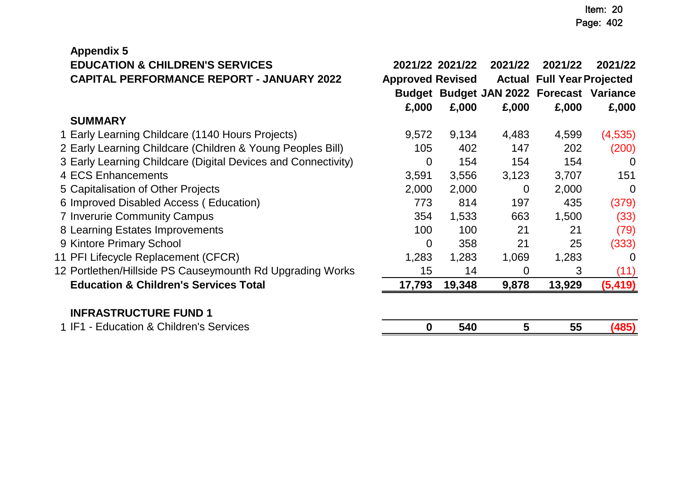| <b>Appendix 5</b>                              |  |
|------------------------------------------------|--|
| <b>EDUCATION &amp; CHILDREN'S SERVICES</b>     |  |
| <b>CAPITAL PERFORMANCE REPORT - JANUARY 20</b> |  |

| <b>EDUCATION &amp; CHILDREN'S SERVICES</b>                    |                         | 2021/22 2021/22 | 2021/22        | 2021/22                                  | 2021/22  |
|---------------------------------------------------------------|-------------------------|-----------------|----------------|------------------------------------------|----------|
| <b>CAPITAL PERFORMANCE REPORT - JANUARY 2022</b>              | <b>Approved Revised</b> |                 |                | <b>Actual Full Year Projected</b>        |          |
|                                                               |                         |                 |                | Budget Budget JAN 2022 Forecast Variance |          |
|                                                               | £,000                   | £,000           | £,000          | £,000                                    | £,000    |
| <b>SUMMARY</b>                                                |                         |                 |                |                                          |          |
| 1 Early Learning Childcare (1140 Hours Projects)              | 9,572                   | 9,134           | 4,483          | 4,599                                    | (4,535)  |
| 2 Early Learning Childcare (Children & Young Peoples Bill)    | 105                     | 402             | 147            | 202                                      | (200)    |
| 3 Early Learning Childcare (Digital Devices and Connectivity) | $\overline{0}$          | 154             | 154            | 154                                      | $\Omega$ |
| 4 ECS Enhancements                                            | 3,591                   | 3,556           | 3,123          | 3,707                                    | 151      |
| 5 Capitalisation of Other Projects                            | 2,000                   | 2,000           | $\overline{0}$ | 2,000                                    | $\Omega$ |
| 6 Improved Disabled Access (Education)                        | 773                     | 814             | 197            | 435                                      | (379)    |
| 7 Inverurie Community Campus                                  | 354                     | 1,533           | 663            | 1,500                                    | (33)     |
| 8 Learning Estates Improvements                               | 100                     | 100             | 21             | 21                                       | (79)     |
| 9 Kintore Primary School                                      | 0                       | 358             | 21             | 25                                       | (333)    |
| 1 PFI Lifecycle Replacement (CFCR)                            | 1,283                   | 1,283           | 1,069          | 1,283                                    | $\Omega$ |
| 2 Portlethen/Hillside PS Causeymounth Rd Upgrading Works      | 15                      | 14              | 0              | 3                                        | (11)     |
| <b>Education &amp; Children's Services Total</b>              | 17,793                  | 19,348          | 9,878          | 13,929                                   | (5, 419) |
| ILIPR LATRUATURE FULUR 4                                      |                         |                 |                |                                          |          |

# **INFRASTRUCTURE FUND 1**

| . റ<br>Services<br>4 I L<br>;hildren's<br>qucai<br>$\alpha$<br>11 C J L |  |  |  |
|-------------------------------------------------------------------------|--|--|--|
|                                                                         |  |  |  |